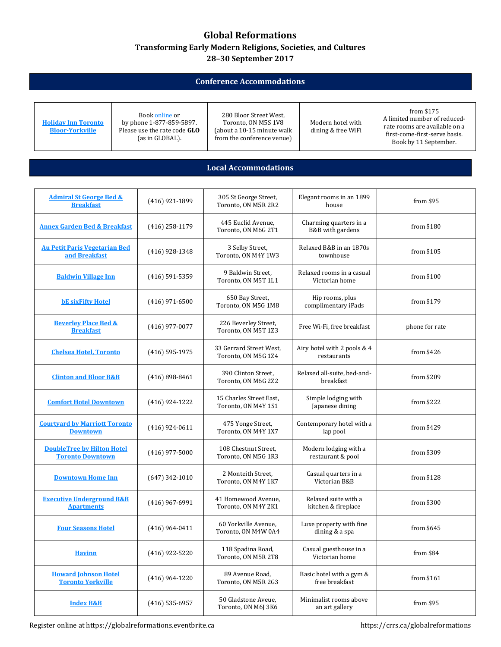## **Global Reformations Transforming Early Modern Religions, Societies, and Cultures 28–30 September 2017**

## **Conference Accommodations**

| <b>Holiday Inn Toronto</b> |  |  |  |  |  |
|----------------------------|--|--|--|--|--|
| <b>Bloor-Yorkville</b>     |  |  |  |  |  |

Boo[k online](https://www.ihg.com/holidayinn/hotels/gb/en/reservation/book?qAdlt=1&qBrs=6c.hi.ex.rs.ic.cp.in.sb.cw.cv.ul.vn.ki.sp.nd.ct&qChld=0&qCiD=27&qCiMy=082017&qCoD=30&qCoMy=082017&qDest=280+Bloor+Street+West+Toronto+Ontario+Canada&qFRA=1&qGRM=0&qGrpCd=GLO&qHtlC=YYZBS&qPSt=0&qRRSrt=rt&qRef=df&qRms=1&qRpn=1&qRpp=20&qRtP=6CBARC&qSHp=1&qSlH=YYZBS&qSmP=3&qSrt=sBR&qWch=0&srb_u=1&method=redirect&icdv=99801505&icdv=99801505#roomratestitle) or by phone 1-877-859-5897. Please use the rate code **GLO** (as in GLOBAL).

280 Bloor Street West, Toronto, ON M5S 1V8 (about a 10-15 minute walk from the conference venue)

Modern hotel with dining & free WiFi

from \$175 A limited number of reducedrate rooms are available on a first-come-first-serve basis. Book by 11 September.

## **Local Accommodations**

| <b>Admiral St George Bed &amp;</b><br><b>Breakfast</b>       | (416) 921-1899     | 305 St George Street,<br>Toronto, ON M5R 2R2   | Elegant rooms in an 1899<br>house           | from \$95      |
|--------------------------------------------------------------|--------------------|------------------------------------------------|---------------------------------------------|----------------|
| <b>Annex Garden Bed &amp; Breakfast</b>                      | $(416)$ 258-1179   | 445 Euclid Avenue.<br>Toronto, ON M6G 2T1      | Charming quarters in a<br>B&B with gardens  | from \$180     |
| <b>Au Petit Paris Vegetarian Bed</b><br>and Breakfast        | $(416)$ 928-1348   | 3 Selby Street,<br>Toronto, ON M4Y 1W3         | Relaxed B&B in an 1870s<br>townhouse        | from \$105     |
| <b>Baldwin Village Inn</b>                                   | $(416)$ 591-5359   | 9 Baldwin Street,<br>Toronto, ON M5T 1L1       | Relaxed rooms in a casual<br>Victorian home | from \$100     |
| <b>bE</b> sixFifty Hotel                                     | (416) 971-6500     | 650 Bay Street,<br>Toronto, ON M5G 1M8         | Hip rooms, plus<br>complimentary iPads      | from \$179     |
| <b>Beverley Place Bed &amp;</b><br><b>Breakfast</b>          | $(416)$ 977-0077   | 226 Beverley Street,<br>Toronto, ON M5T 1Z3    | Free Wi-Fi, free breakfast                  | phone for rate |
| <b>Chelsea Hotel, Toronto</b>                                | $(416)$ 595-1975   | 33 Gerrard Street West,<br>Toronto, ON M5G 1Z4 | Airy hotel with 2 pools & 4<br>restaurants  | from $$426$    |
| <b>Clinton and Bloor B&amp;B</b>                             | $(416) 898 - 8461$ | 390 Clinton Street,<br>Toronto, ON M6G 2Z2     | Relaxed all-suite, bed-and-<br>breakfast    | from \$209     |
| <b>Comfort Hotel Downtown</b>                                | $(416)$ 924-1222   | 15 Charles Street East,<br>Toronto, ON M4Y 1S1 | Simple lodging with<br>Japanese dining      | from \$222     |
| <b>Courtyard by Marriott Toronto</b><br><b>Downtown</b>      | $(416)$ 924-0611   | 475 Yonge Street,<br>Toronto, ON M4Y 1X7       | Contemporary hotel with a<br>lap pool       | from \$429     |
| <b>DoubleTree by Hilton Hotel</b><br><b>Toronto Downtown</b> | $(416)$ 977-5000   | 108 Chestnut Street,<br>Toronto, ON M5G 1R3    | Modern lodging with a<br>restaurant & pool  | from \$309     |
| <b>Downtown Home Inn</b>                                     | $(647)$ 342-1010   | 2 Monteith Street,<br>Toronto, ON M4Y 1K7      | Casual quarters in a<br>Victorian B&B       | from \$128     |
| <b>Executive Underground B&amp;B</b><br><b>Apartments</b>    | $(416)$ 967-6991   | 41 Homewood Avenue,<br>Toronto, ON M4Y 2K1     | Relaxed suite with a<br>kitchen & fireplace | from \$300     |
| <b>Four Seasons Hotel</b>                                    | $(416)$ 964-0411   | 60 Yorkville Avenue,<br>Toronto, ON M4W 0A4    | Luxe property with fine<br>dining & a spa   | from \$645     |
| <b>Havinn</b>                                                | $(416)$ 922-5220   | 118 Spadina Road,<br>Toronto, ON M5R 2T8       | Casual guesthouse in a<br>Victorian home    | from \$84      |
| <b>Howard Johnson Hotel</b><br><b>Toronto Yorkville</b>      | $(416)$ 964-1220   | 89 Avenue Road,<br>Toronto, ON M5R 2G3         | Basic hotel with a gym &<br>free breakfast  | from \$161     |
| <b>Index B&amp;B</b>                                         | $(416)$ 535-6957   | 50 Gladstone Aveue,<br>Toronto, ON M6J 3K6     | Minimalist rooms above<br>an art gallery    | from \$95      |